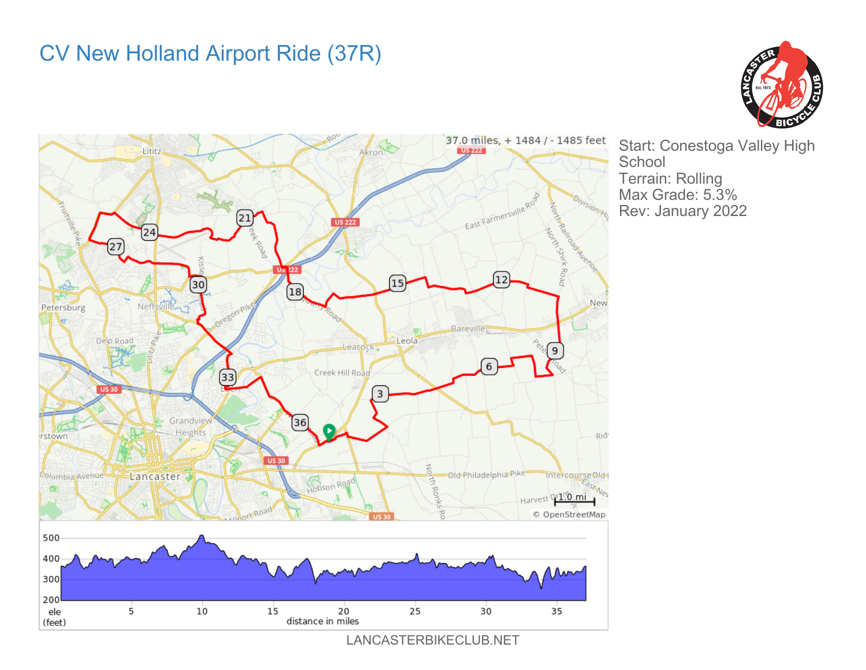## CV New Holland Airport Ride (37R)





Start: Conestoga Valley High **School** Terrain: Rolling Max Grade: 5.3% Rev: January 2022

LANCASTERBIKECLUB.NET